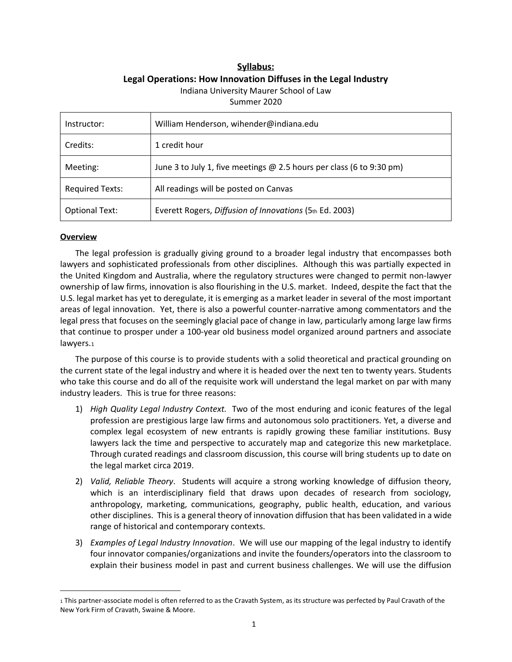# **Syllabus: Legal Operations: How Innovation Diffuses in the Legal Industry** Indiana University Maurer School of Law

Summer 2020

| Instructor:            | William Henderson, wihender@indiana.edu                                |
|------------------------|------------------------------------------------------------------------|
| Credits:               | 1 credit hour                                                          |
| Meeting:               | June 3 to July 1, five meetings $@$ 2.5 hours per class (6 to 9:30 pm) |
| <b>Required Texts:</b> | All readings will be posted on Canvas                                  |
| <b>Optional Text:</b>  | Everett Rogers, Diffusion of Innovations (5th Ed. 2003)                |

### **Overview**

The legal profession is gradually giving ground to a broader legal industry that encompasses both lawyers and sophisticated professionals from other disciplines. Although this was partially expected in the United Kingdom and Australia, where the regulatory structures were changed to permit non-lawyer ownership of law firms, innovation is also flourishing in the U.S. market. Indeed, despite the fact that the U.S. legal market has yet to deregulate, it is emerging as a market leader in several of the most important areas of legal innovation. Yet, there is also a powerful counter-narrative among commentators and the legal press that focuses on the seemingly glacial pace of change in law, particularly among large law firms that continue to prosper under a 100-year old business model organized around partners and associate lawyers.1

The purpose of this course is to provide students with a solid theoretical and practical grounding on the current state of the legal industry and where it is headed over the next ten to twenty years. Students who take this course and do all of the requisite work will understand the legal market on par with many industry leaders. This is true for three reasons:

- 1) *High Quality Legal Industry Context.* Two of the most enduring and iconic features of the legal profession are prestigious large law firms and autonomous solo practitioners. Yet, a diverse and complex legal ecosystem of new entrants is rapidly growing these familiar institutions. Busy lawyers lack the time and perspective to accurately map and categorize this new marketplace. Through curated readings and classroom discussion, this course will bring students up to date on the legal market circa 2019.
- 2) *Valid, Reliable Theory*. Students will acquire a strong working knowledge of diffusion theory, which is an interdisciplinary field that draws upon decades of research from sociology, anthropology, marketing, communications, geography, public health, education, and various other disciplines. This is a general theory of innovation diffusion that has been validated in a wide range of historical and contemporary contexts.
- 3) *Examples of Legal Industry Innovation*. We will use our mapping of the legal industry to identify four innovator companies/organizations and invite the founders/operators into the classroom to explain their business model in past and current business challenges. We will use the diffusion

<sup>1</sup> This partner-associate model is often referred to as the Cravath System, as its structure was perfected by Paul Cravath of the New York Firm of Cravath, Swaine & Moore.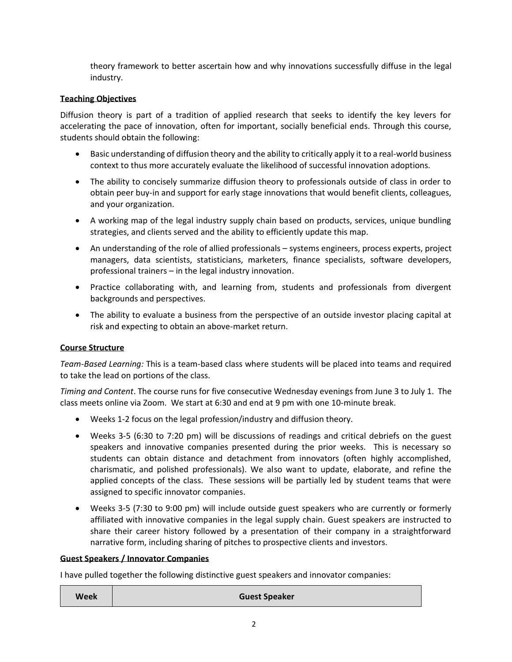theory framework to better ascertain how and why innovations successfully diffuse in the legal industry.

## **Teaching Objectives**

Diffusion theory is part of a tradition of applied research that seeks to identify the key levers for accelerating the pace of innovation, often for important, socially beneficial ends. Through this course, students should obtain the following:

- Basic understanding of diffusion theory and the ability to critically apply it to a real-world business context to thus more accurately evaluate the likelihood of successful innovation adoptions.
- The ability to concisely summarize diffusion theory to professionals outside of class in order to obtain peer buy-in and support for early stage innovations that would benefit clients, colleagues, and your organization.
- A working map of the legal industry supply chain based on products, services, unique bundling strategies, and clients served and the ability to efficiently update this map.
- An understanding of the role of allied professionals systems engineers, process experts, project managers, data scientists, statisticians, marketers, finance specialists, software developers, professional trainers – in the legal industry innovation.
- Practice collaborating with, and learning from, students and professionals from divergent backgrounds and perspectives.
- The ability to evaluate a business from the perspective of an outside investor placing capital at risk and expecting to obtain an above-market return.

### **Course Structure**

*Team-Based Learning:* This is a team-based class where students will be placed into teams and required to take the lead on portions of the class.

*Timing and Content*. The course runs for five consecutive Wednesday evenings from June 3 to July 1. The class meets online via Zoom. We start at 6:30 and end at 9 pm with one 10-minute break.

- Weeks 1-2 focus on the legal profession/industry and diffusion theory.
- Weeks 3-5 (6:30 to 7:20 pm) will be discussions of readings and critical debriefs on the guest speakers and innovative companies presented during the prior weeks. This is necessary so students can obtain distance and detachment from innovators (often highly accomplished, charismatic, and polished professionals). We also want to update, elaborate, and refine the applied concepts of the class. These sessions will be partially led by student teams that were assigned to specific innovator companies.
- Weeks 3-5 (7:30 to 9:00 pm) will include outside guest speakers who are currently or formerly affiliated with innovative companies in the legal supply chain. Guest speakers are instructed to share their career history followed by a presentation of their company in a straightforward narrative form, including sharing of pitches to prospective clients and investors.

#### **Guest Speakers / Innovator Companies**

I have pulled together the following distinctive guest speakers and innovator companies:

**Week Guest Speaker**